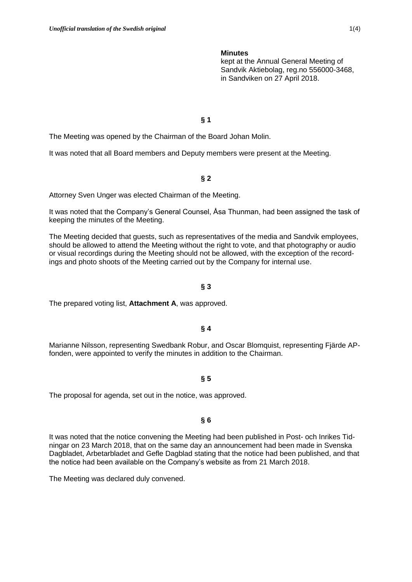#### **Minutes**

kept at the Annual General Meeting of Sandvik Aktiebolag, reg.no 556000-3468, in Sandviken on 27 April 2018.

### **§ 1**

The Meeting was opened by the Chairman of the Board Johan Molin.

It was noted that all Board members and Deputy members were present at the Meeting.

## **§ 2**

Attorney Sven Unger was elected Chairman of the Meeting.

It was noted that the Company's General Counsel, Åsa Thunman, had been assigned the task of keeping the minutes of the Meeting.

The Meeting decided that guests, such as representatives of the media and Sandvik employees, should be allowed to attend the Meeting without the right to vote, and that photography or audio or visual recordings during the Meeting should not be allowed, with the exception of the recordings and photo shoots of the Meeting carried out by the Company for internal use.

#### **§ 3**

The prepared voting list, **Attachment A**, was approved.

#### **§ 4**

Marianne Nilsson, representing Swedbank Robur, and Oscar Blomquist, representing Fjärde APfonden, were appointed to verify the minutes in addition to the Chairman.

#### **§ 5**

The proposal for agenda, set out in the notice, was approved.

#### **§ 6**

It was noted that the notice convening the Meeting had been published in Post- och Inrikes Tidningar on 23 March 2018, that on the same day an announcement had been made in Svenska Dagbladet, Arbetarbladet and Gefle Dagblad stating that the notice had been published, and that the notice had been available on the Company's website as from 21 March 2018.

The Meeting was declared duly convened.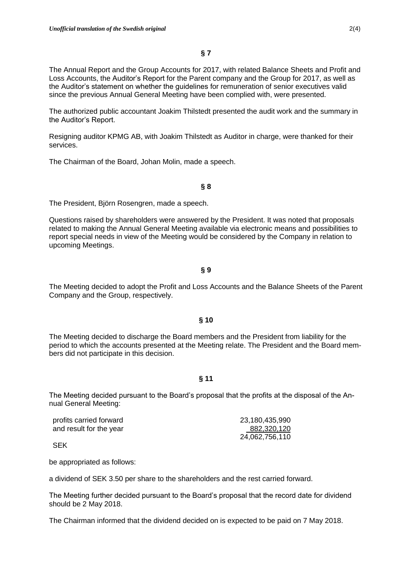The Annual Report and the Group Accounts for 2017, with related Balance Sheets and Profit and Loss Accounts, the Auditor's Report for the Parent company and the Group for 2017, as well as the Auditor's statement on whether the guidelines for remuneration of senior executives valid since the previous Annual General Meeting have been complied with, were presented.

The authorized public accountant Joakim Thilstedt presented the audit work and the summary in the Auditor's Report.

Resigning auditor KPMG AB, with Joakim Thilstedt as Auditor in charge, were thanked for their services.

The Chairman of the Board, Johan Molin, made a speech.

## **§ 8**

The President, Björn Rosengren, made a speech.

Questions raised by shareholders were answered by the President. It was noted that proposals related to making the Annual General Meeting available via electronic means and possibilities to report special needs in view of the Meeting would be considered by the Company in relation to upcoming Meetings.

#### **§ 9**

The Meeting decided to adopt the Profit and Loss Accounts and the Balance Sheets of the Parent Company and the Group, respectively.

#### **§ 10**

The Meeting decided to discharge the Board members and the President from liability for the period to which the accounts presented at the Meeting relate. The President and the Board members did not participate in this decision.

### **§ 11**

The Meeting decided pursuant to the Board's proposal that the profits at the disposal of the Annual General Meeting:

| profits carried forward | 23,180,435,990 |
|-------------------------|----------------|
| and result for the year | 882,320,120    |
|                         | 24,062,756,110 |

SEK

be appropriated as follows:

a dividend of SEK 3.50 per share to the shareholders and the rest carried forward.

The Meeting further decided pursuant to the Board's proposal that the record date for dividend should be 2 May 2018.

The Chairman informed that the dividend decided on is expected to be paid on 7 May 2018.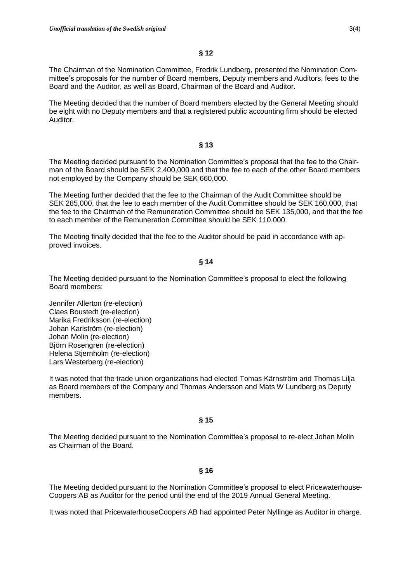The Chairman of the Nomination Committee, Fredrik Lundberg, presented the Nomination Committee's proposals for the number of Board members, Deputy members and Auditors, fees to the Board and the Auditor, as well as Board, Chairman of the Board and Auditor.

The Meeting decided that the number of Board members elected by the General Meeting should be eight with no Deputy members and that a registered public accounting firm should be elected Auditor.

## **§ 13**

The Meeting decided pursuant to the Nomination Committee's proposal that the fee to the Chairman of the Board should be SEK 2,400,000 and that the fee to each of the other Board members not employed by the Company should be SEK 660,000.

The Meeting further decided that the fee to the Chairman of the Audit Committee should be SEK 285,000, that the fee to each member of the Audit Committee should be SEK 160,000, that the fee to the Chairman of the Remuneration Committee should be SEK 135,000, and that the fee to each member of the Remuneration Committee should be SEK 110,000.

The Meeting finally decided that the fee to the Auditor should be paid in accordance with approved invoices.

## **§ 14**

The Meeting decided pursuant to the Nomination Committee's proposal to elect the following Board members:

Jennifer Allerton (re-election) Claes Boustedt (re-election) Marika Fredriksson (re-election) Johan Karlström (re-election) Johan Molin (re-election) Björn Rosengren (re-election) Helena Stjernholm (re-election) Lars Westerberg (re-election)

It was noted that the trade union organizations had elected Tomas Kärnström and Thomas Lilja as Board members of the Company and Thomas Andersson and Mats W Lundberg as Deputy members.

# **§ 15**

The Meeting decided pursuant to the Nomination Committee's proposal to re-elect Johan Molin as Chairman of the Board.

# **§ 16**

The Meeting decided pursuant to the Nomination Committee's proposal to elect Pricewaterhouse-Coopers AB as Auditor for the period until the end of the 2019 Annual General Meeting.

It was noted that PricewaterhouseCoopers AB had appointed Peter Nyllinge as Auditor in charge.